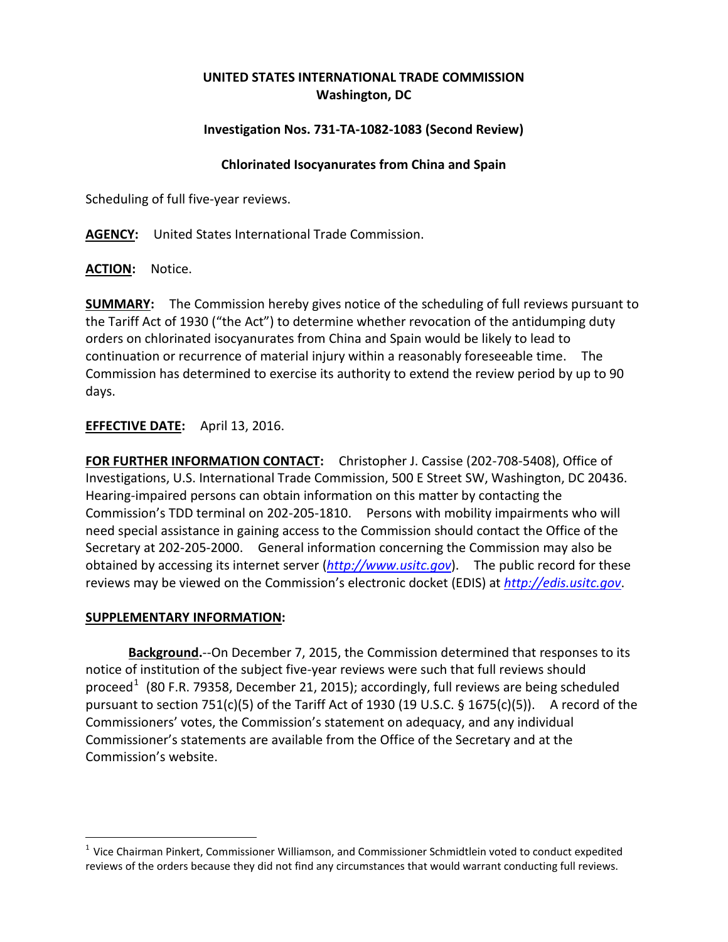# **UNITED STATES INTERNATIONAL TRADE COMMISSION Washington, DC**

### **Investigation Nos. 731-TA-1082-1083 (Second Review)**

#### **Chlorinated Isocyanurates from China and Spain**

Scheduling of full five-year reviews.

**AGENCY:** United States International Trade Commission.

**ACTION:** Notice.

**SUMMARY:** The Commission hereby gives notice of the scheduling of full reviews pursuant to the Tariff Act of 1930 ("the Act") to determine whether revocation of the antidumping duty orders on chlorinated isocyanurates from China and Spain would be likely to lead to continuation or recurrence of material injury within a reasonably foreseeable time. The Commission has determined to exercise its authority to extend the review period by up to 90 days.

## **EFFECTIVE DATE:** April 13, 2016.

**FOR FURTHER INFORMATION CONTACT:** Christopher J. Cassise (202-708-5408), Office of Investigations, U.S. International Trade Commission, 500 E Street SW, Washington, DC 20436. Hearing-impaired persons can obtain information on this matter by contacting the Commission's TDD terminal on 202-205-1810. Persons with mobility impairments who will need special assistance in gaining access to the Commission should contact the Office of the Secretary at 202-205-2000. General information concerning the Commission may also be obtained by accessing its internet server (*[http://www.usitc.gov](http://www.usitc.gov/)*). The public record for these reviews may be viewed on the Commission's electronic docket (EDIS) at *[http://edis.usitc.gov](http://edis.usitc.gov/)*.

#### **SUPPLEMENTARY INFORMATION:**

**Background.**--On December 7, 2015, the Commission determined that responses to its notice of institution of the subject five-year reviews were such that full reviews should proceed<sup>[1](#page-0-0)</sup> (80 F.R. 79358, December 21, 2015); accordingly, full reviews are being scheduled pursuant to section 751(c)(5) of the Tariff Act of 1930 (19 U.S.C.  $\S$  1675(c)(5)). A record of the Commissioners' votes, the Commission's statement on adequacy, and any individual Commissioner's statements are available from the Office of the Secretary and at the Commission's website.

<span id="page-0-0"></span> $1$  Vice Chairman Pinkert, Commissioner Williamson, and Commissioner Schmidtlein voted to conduct expedited reviews of the orders because they did not find any circumstances that would warrant conducting full reviews.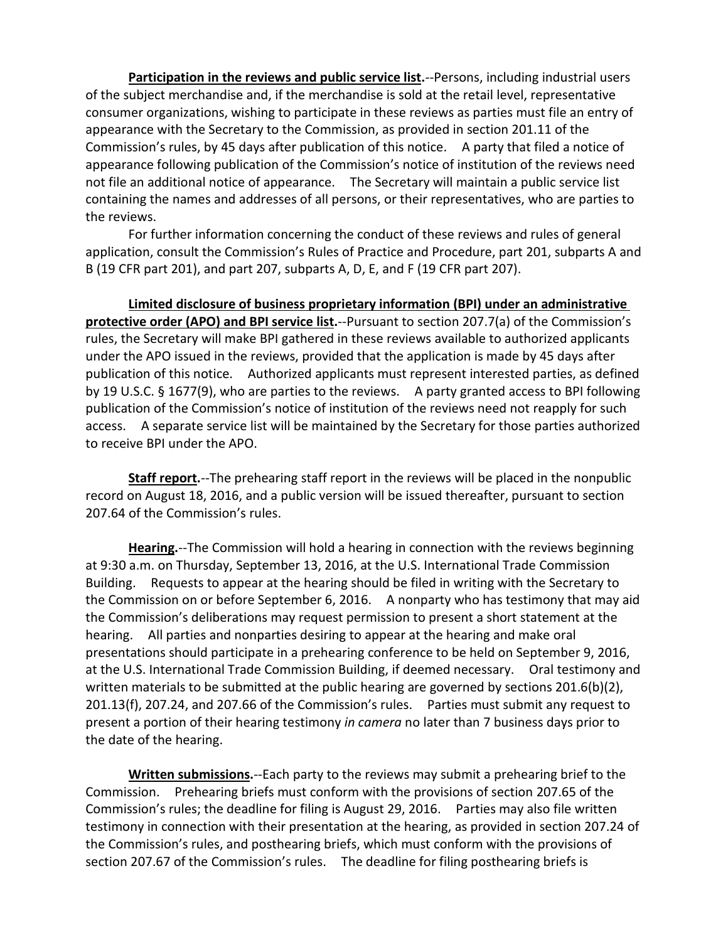**Participation in the reviews and public service list.**--Persons, including industrial users of the subject merchandise and, if the merchandise is sold at the retail level, representative consumer organizations, wishing to participate in these reviews as parties must file an entry of appearance with the Secretary to the Commission, as provided in section 201.11 of the Commission's rules, by 45 days after publication of this notice. A party that filed a notice of appearance following publication of the Commission's notice of institution of the reviews need not file an additional notice of appearance. The Secretary will maintain a public service list containing the names and addresses of all persons, or their representatives, who are parties to the reviews.

For further information concerning the conduct of these reviews and rules of general application, consult the Commission's Rules of Practice and Procedure, part 201, subparts A and B (19 CFR part 201), and part 207, subparts A, D, E, and F (19 CFR part 207).

**Limited disclosure of business proprietary information (BPI) under an administrative protective order (APO) and BPI service list.**--Pursuant to section 207.7(a) of the Commission's rules, the Secretary will make BPI gathered in these reviews available to authorized applicants under the APO issued in the reviews, provided that the application is made by 45 days after publication of this notice. Authorized applicants must represent interested parties, as defined by 19 U.S.C. § 1677(9), who are parties to the reviews. A party granted access to BPI following publication of the Commission's notice of institution of the reviews need not reapply for such access. A separate service list will be maintained by the Secretary for those parties authorized to receive BPI under the APO.

**Staff report.**--The prehearing staff report in the reviews will be placed in the nonpublic record on August 18, 2016, and a public version will be issued thereafter, pursuant to section 207.64 of the Commission's rules.

**Hearing.**--The Commission will hold a hearing in connection with the reviews beginning at 9:30 a.m. on Thursday, September 13, 2016, at the U.S. International Trade Commission Building. Requests to appear at the hearing should be filed in writing with the Secretary to the Commission on or before September 6, 2016. A nonparty who has testimony that may aid the Commission's deliberations may request permission to present a short statement at the hearing. All parties and nonparties desiring to appear at the hearing and make oral presentations should participate in a prehearing conference to be held on September 9, 2016, at the U.S. International Trade Commission Building, if deemed necessary. Oral testimony and written materials to be submitted at the public hearing are governed by sections  $201.6(b)(2)$ , 201.13(f), 207.24, and 207.66 of the Commission's rules. Parties must submit any request to present a portion of their hearing testimony *in camera* no later than 7 business days prior to the date of the hearing.

**Written submissions.**--Each party to the reviews may submit a prehearing brief to the Commission. Prehearing briefs must conform with the provisions of section 207.65 of the Commission's rules; the deadline for filing is August 29, 2016. Parties may also file written testimony in connection with their presentation at the hearing, as provided in section 207.24 of the Commission's rules, and posthearing briefs, which must conform with the provisions of section 207.67 of the Commission's rules. The deadline for filing posthearing briefs is